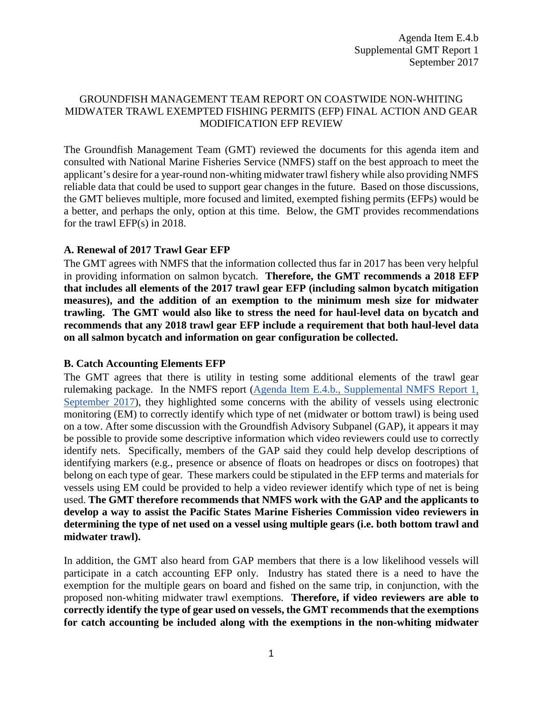## GROUNDFISH MANAGEMENT TEAM REPORT ON COASTWIDE NON-WHITING MIDWATER TRAWL EXEMPTED FISHING PERMITS (EFP) FINAL ACTION AND GEAR MODIFICATION EFP REVIEW

The Groundfish Management Team (GMT) reviewed the documents for this agenda item and consulted with National Marine Fisheries Service (NMFS) staff on the best approach to meet the applicant's desire for a year-round non-whiting midwater trawl fishery while also providing NMFS reliable data that could be used to support gear changes in the future. Based on those discussions, the GMT believes multiple, more focused and limited, exempted fishing permits (EFPs) would be a better, and perhaps the only, option at this time. Below, the GMT provides recommendations for the trawl EFP(s) in 2018.

# **A. Renewal of 2017 Trawl Gear EFP**

The GMT agrees with NMFS that the information collected thus far in 2017 has been very helpful in providing information on salmon bycatch. **Therefore, the GMT recommends a 2018 EFP that includes all elements of the 2017 trawl gear EFP (including salmon bycatch mitigation measures), and the addition of an exemption to the minimum mesh size for midwater trawling. The GMT would also like to stress the need for haul-level data on bycatch and recommends that any 2018 trawl gear EFP include a requirement that both haul-level data on all salmon bycatch and information on gear configuration be collected.**

# **B. Catch Accounting Elements EFP**

The GMT agrees that there is utility in testing some additional elements of the trawl gear rulemaking package. In the NMFS report [\(Agenda Item E.4.b., Supplemental NMFS Report 1,](http://www.pcouncil.org/wp-content/uploads/2017/09/E4b_Sup_NMFS_Rpt1_SEPT2017BB.pdf) September 2017), they highlighted some concerns with the ability of vessels using electronic monitoring (EM) to correctly identify which type of net (midwater or bottom trawl) is being used on a tow. After some discussion with the Groundfish Advisory Subpanel (GAP), it appears it may be possible to provide some descriptive information which video reviewers could use to correctly identify nets. Specifically, members of the GAP said they could help develop descriptions of identifying markers (e.g., presence or absence of floats on headropes or discs on footropes) that belong on each type of gear. These markers could be stipulated in the EFP terms and materials for vessels using EM could be provided to help a video reviewer identify which type of net is being used. **The GMT therefore recommends that NMFS work with the GAP and the applicants to develop a way to assist the Pacific States Marine Fisheries Commission video reviewers in determining the type of net used on a vessel using multiple gears (i.e. both bottom trawl and midwater trawl).**

In addition, the GMT also heard from GAP members that there is a low likelihood vessels will participate in a catch accounting EFP only. Industry has stated there is a need to have the exemption for the multiple gears on board and fished on the same trip, in conjunction, with the proposed non-whiting midwater trawl exemptions. **Therefore, if video reviewers are able to correctly identify the type of gear used on vessels, the GMT recommends that the exemptions for catch accounting be included along with the exemptions in the non-whiting midwater**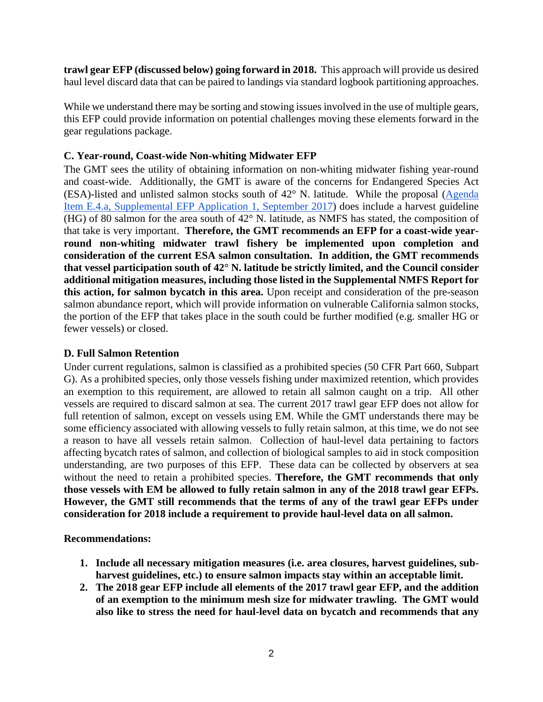**trawl gear EFP (discussed below) going forward in 2018.** This approach will provide us desired haul level discard data that can be paired to landings via standard logbook partitioning approaches.

While we understand there may be sorting and stowing issues involved in the use of multiple gears, this EFP could provide information on potential challenges moving these elements forward in the gear regulations package.

## **C. Year-round, Coast-wide Non-whiting Midwater EFP**

The GMT sees the utility of obtaining information on non-whiting midwater fishing year-round and coast-wide. Additionally, the GMT is aware of the concerns for Endangered Species Act (ESA)-listed and unlisted salmon stocks south of 42° N. latitude. While the proposal [\(Agenda](http://www.pcouncil.org/wp-content/uploads/2017/09/E4a_Sup_EFP_App1_SEPT2017BB.pdf)  [Item E.4.a, Supplemental EFP Application 1,](http://www.pcouncil.org/wp-content/uploads/2017/09/E4a_Sup_EFP_App1_SEPT2017BB.pdf) September 2017) does include a harvest guideline (HG) of 80 salmon for the area south of 42° N. latitude, as NMFS has stated, the composition of that take is very important. **Therefore, the GMT recommends an EFP for a coast-wide yearround non-whiting midwater trawl fishery be implemented upon completion and consideration of the current ESA salmon consultation. In addition, the GMT recommends that vessel participation south of 42° N. latitude be strictly limited, and the Council consider additional mitigation measures, including those listed in the Supplemental NMFS Report for this action, for salmon bycatch in this area.** Upon receipt and consideration of the pre-season salmon abundance report, which will provide information on vulnerable California salmon stocks, the portion of the EFP that takes place in the south could be further modified (e.g. smaller HG or fewer vessels) or closed.

#### **D. Full Salmon Retention**

Under current regulations, salmon is classified as a prohibited species (50 CFR Part 660, Subpart G). As a prohibited species, only those vessels fishing under maximized retention, which provides an exemption to this requirement, are allowed to retain all salmon caught on a trip. All other vessels are required to discard salmon at sea. The current 2017 trawl gear EFP does not allow for full retention of salmon, except on vessels using EM. While the GMT understands there may be some efficiency associated with allowing vessels to fully retain salmon, at this time, we do not see a reason to have all vessels retain salmon. Collection of haul-level data pertaining to factors affecting bycatch rates of salmon, and collection of biological samples to aid in stock composition understanding, are two purposes of this EFP. These data can be collected by observers at sea without the need to retain a prohibited species. **Therefore, the GMT recommends that only those vessels with EM be allowed to fully retain salmon in any of the 2018 trawl gear EFPs. However, the GMT still recommends that the terms of any of the trawl gear EFPs under consideration for 2018 include a requirement to provide haul-level data on all salmon.** 

#### **Recommendations:**

- **1. Include all necessary mitigation measures (i.e. area closures, harvest guidelines, subharvest guidelines, etc.) to ensure salmon impacts stay within an acceptable limit.**
- **2. The 2018 gear EFP include all elements of the 2017 trawl gear EFP, and the addition of an exemption to the minimum mesh size for midwater trawling. The GMT would also like to stress the need for haul-level data on bycatch and recommends that any**